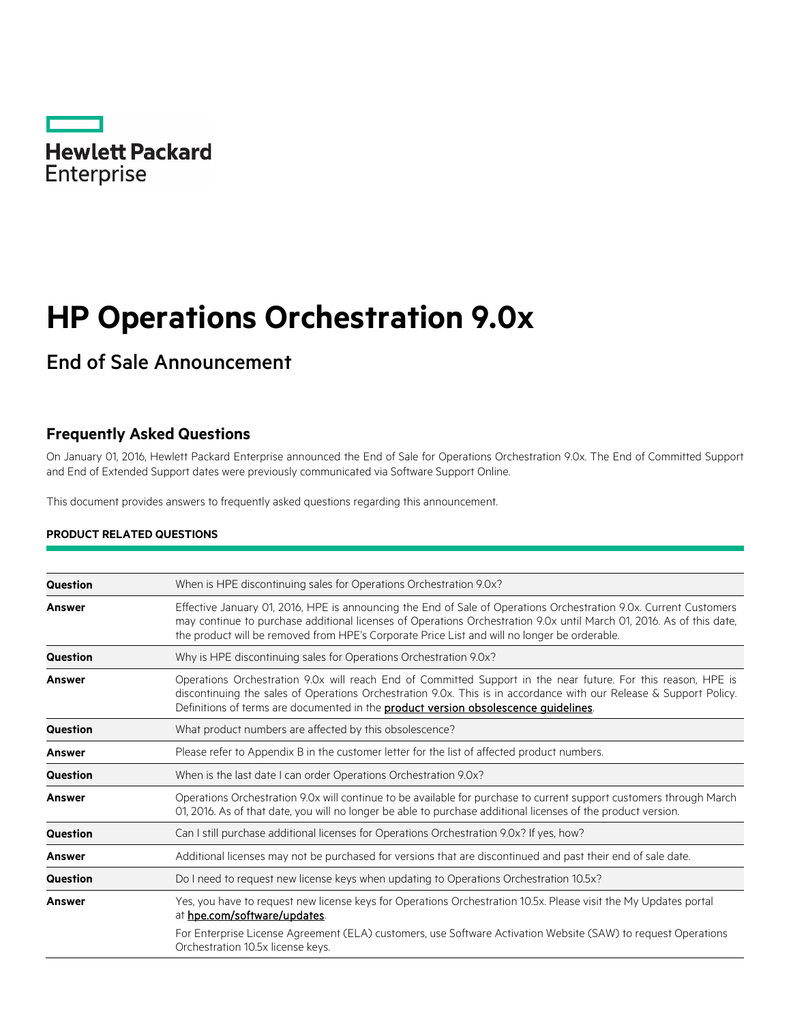

# **HP Operations Orchestration 9.0x**

End of Sale Announcement

## **Frequently Asked Questions**

On January 01, 2016, Hewlett Packard Enterprise announced the End of Sale for Operations Orchestration 9.0x. The End of Committed Support and End of Extended Support dates were previously communicated via Software Support Online.

This document provides answers to frequently asked questions regarding this announcement.

### **PRODUCT RELATED QUESTIONS**

| Question        | When is HPE discontinuing sales for Operations Orchestration 9.0x?                                                                                                                                                                                                                                                                        |
|-----------------|-------------------------------------------------------------------------------------------------------------------------------------------------------------------------------------------------------------------------------------------------------------------------------------------------------------------------------------------|
| Answer          | Effective January 01, 2016, HPE is announcing the End of Sale of Operations Orchestration 9.0x. Current Customers<br>may continue to purchase additional licenses of Operations Orchestration 9.0x until March 01, 2016. As of this date,<br>the product will be removed from HPE's Corporate Price List and will no longer be orderable. |
| <b>Question</b> | Why is HPE discontinuing sales for Operations Orchestration 9.0x?                                                                                                                                                                                                                                                                         |
| <b>Answer</b>   | Operations Orchestration 9.0x will reach End of Committed Support in the near future. For this reason, HPE is<br>discontinuing the sales of Operations Orchestration 9.0x. This is in accordance with our Release & Support Policy.<br>Definitions of terms are documented in the <b>product version obsolescence guidelines</b> .        |
| <b>Question</b> | What product numbers are affected by this obsolescence?                                                                                                                                                                                                                                                                                   |
| <b>Answer</b>   | Please refer to Appendix B in the customer letter for the list of affected product numbers.                                                                                                                                                                                                                                               |
| Question        | When is the last date I can order Operations Orchestration 9.0x?                                                                                                                                                                                                                                                                          |
| <b>Answer</b>   | Operations Orchestration 9.0x will continue to be available for purchase to current support customers through March<br>01, 2016. As of that date, you will no longer be able to purchase additional licenses of the product version.                                                                                                      |
| <b>Question</b> | Can I still purchase additional licenses for Operations Orchestration 9.0x? If yes, how?                                                                                                                                                                                                                                                  |
| Answer          | Additional licenses may not be purchased for versions that are discontinued and past their end of sale date.                                                                                                                                                                                                                              |
| Question        | Do I need to request new license keys when updating to Operations Orchestration 10.5x?                                                                                                                                                                                                                                                    |
| <b>Answer</b>   | Yes, you have to request new license keys for Operations Orchestration 10.5x. Please visit the My Updates portal<br>at hpe.com/software/updates.                                                                                                                                                                                          |
|                 | For Enterprise License Agreement (ELA) customers, use Software Activation Website (SAW) to request Operations<br>Orchestration 10.5x license keys.                                                                                                                                                                                        |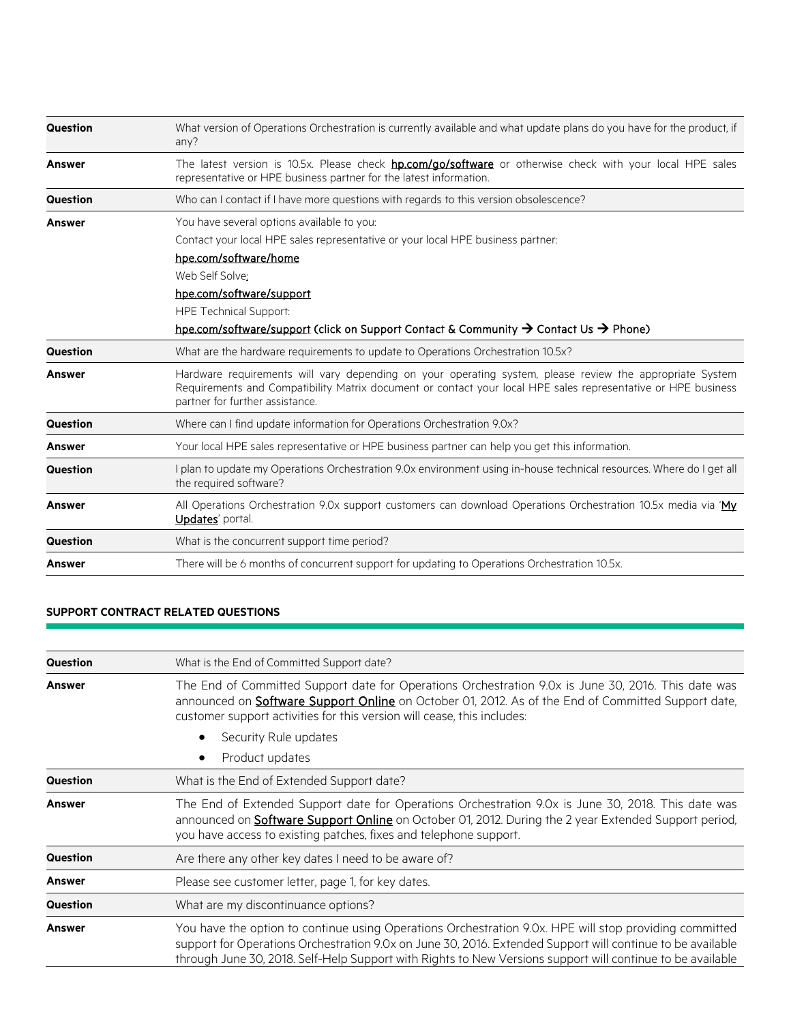| Question        | What version of Operations Orchestration is currently available and what update plans do you have for the product, if<br>any?                                                                                                                                |
|-----------------|--------------------------------------------------------------------------------------------------------------------------------------------------------------------------------------------------------------------------------------------------------------|
| <b>Answer</b>   | The latest version is 10.5x. Please check <b>hp.com/go/software</b> or otherwise check with your local HPE sales<br>representative or HPE business partner for the latest information.                                                                       |
| <b>Question</b> | Who can I contact if I have more questions with regards to this version obsolescence?                                                                                                                                                                        |
| Answer          | You have several options available to you:<br>Contact your local HPE sales representative or your local HPE business partner:<br>hpe.com/software/home<br>Web Self Solve:<br>hpe.com/software/support<br><b>HPE Technical Support:</b>                       |
|                 | hpe.com/software/support (click on Support Contact & Community $\rightarrow$ Contact Us $\rightarrow$ Phone)                                                                                                                                                 |
| <b>Question</b> | What are the hardware requirements to update to Operations Orchestration 10.5x?                                                                                                                                                                              |
| <b>Answer</b>   | Hardware requirements will vary depending on your operating system, please review the appropriate System<br>Requirements and Compatibility Matrix document or contact your local HPE sales representative or HPE business<br>partner for further assistance. |
| <b>Question</b> | Where can I find update information for Operations Orchestration 9.0x?                                                                                                                                                                                       |
| <b>Answer</b>   | Your local HPE sales representative or HPE business partner can help you get this information.                                                                                                                                                               |
| <b>Question</b> | I plan to update my Operations Orchestration 9.0x environment using in-house technical resources. Where do I get all<br>the required software?                                                                                                               |
| <b>Answer</b>   | All Operations Orchestration 9.0x support customers can download Operations Orchestration 10.5x media via ' $My$<br>Updates' portal.                                                                                                                         |
| <b>Question</b> | What is the concurrent support time period?                                                                                                                                                                                                                  |
| <b>Answer</b>   | There will be 6 months of concurrent support for updating to Operations Orchestration 10.5x.                                                                                                                                                                 |

### **SUPPORT CONTRACT RELATED QUESTIONS**

| Question        | What is the End of Committed Support date?                                                                                                                                                                                                                                                                                         |
|-----------------|------------------------------------------------------------------------------------------------------------------------------------------------------------------------------------------------------------------------------------------------------------------------------------------------------------------------------------|
| <b>Answer</b>   | The End of Committed Support date for Operations Orchestration 9.0x is June 30, 2016. This date was<br>announced on <b>Software Support Online</b> on October 01, 2012. As of the End of Committed Support date,<br>customer support activities for this version will cease, this includes:                                        |
|                 | Security Rule updates                                                                                                                                                                                                                                                                                                              |
|                 | Product updates                                                                                                                                                                                                                                                                                                                    |
| Question        | What is the End of Extended Support date?                                                                                                                                                                                                                                                                                          |
| <b>Answer</b>   | The End of Extended Support date for Operations Orchestration 9.0x is June 30, 2018. This date was<br>announced on <b>Software Support Online</b> on October 01, 2012. During the 2 year Extended Support period,<br>you have access to existing patches, fixes and telephone support.                                             |
| <b>Question</b> | Are there any other key dates I need to be aware of?                                                                                                                                                                                                                                                                               |
| <b>Answer</b>   | Please see customer letter, page 1, for key dates.                                                                                                                                                                                                                                                                                 |
| <b>Question</b> | What are my discontinuance options?                                                                                                                                                                                                                                                                                                |
| <b>Answer</b>   | You have the option to continue using Operations Orchestration 9.0x. HPE will stop providing committed<br>support for Operations Orchestration 9.0x on June 30, 2016. Extended Support will continue to be available<br>through June 30, 2018. Self-Help Support with Rights to New Versions support will continue to be available |